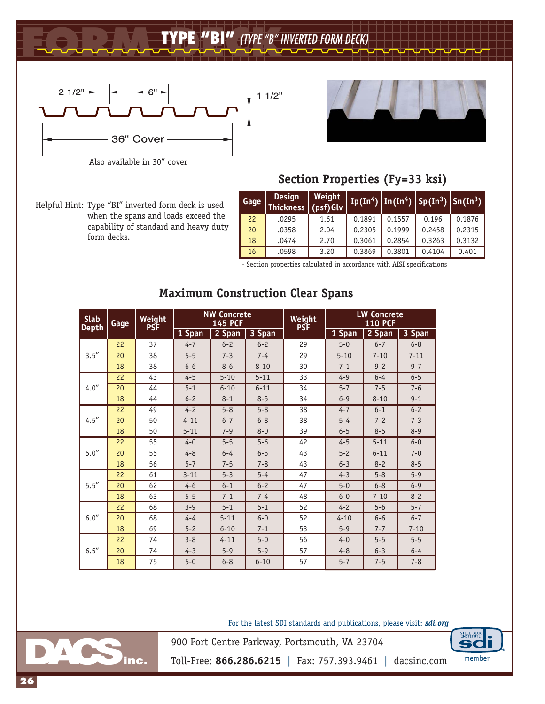## **FORM DECK TYPE "BI"** *(TYPE "B" INVERTED FORM DECK)*



Also available in 30" cover

Helpful Hint: Type "BI" inverted form deck is used when the spans and loads exceed the capability of standard and heavy duty form decks.

## **Section Properties (Fy=33 ksi)**

| Gage | <b>Design</b><br>Thickness (psf)Glv | Weight |        |        | Ip(In <sup>4</sup> )   In(In <sup>4</sup> )   Sp(In <sup>3</sup> )   Sn(In <sup>3</sup> ) |        |  |
|------|-------------------------------------|--------|--------|--------|-------------------------------------------------------------------------------------------|--------|--|
| 22   | .0295                               | 1.61   | 0.1891 | 0.1557 | 0.196                                                                                     | 0.1876 |  |
| 20   | .0358                               | 2.04   | 0.2305 | 0.1999 | 0.2458                                                                                    | 0.2315 |  |
| 18   | .0474                               | 2.70   | 0.3061 | 0.2854 | 0.3263                                                                                    | 0.3132 |  |
| 16   | .0598                               | 3.20   | 0.3869 | 0.3801 | 0.4104                                                                                    | 0.401  |  |

- Section properties calculated in accordance with AISI specifications

| <b>Slab</b><br><b>Depth</b> | Gage | Weight<br><b>PSF</b> | <b>NW Concrete</b><br><b>145 PCF</b> |          |          | Weight<br><b>PSF</b> | <b>LW Concrete</b><br><b>110 PCF</b> |          |          |  |
|-----------------------------|------|----------------------|--------------------------------------|----------|----------|----------------------|--------------------------------------|----------|----------|--|
|                             |      |                      | 1 Span                               | 2 Span   | 3 Span   |                      | 1 Span                               | 2 Span   | 3 Span   |  |
| 3.5''                       | 22   | 37                   | $4 - 7$                              | $6 - 2$  | $6 - 2$  | 29                   | $5 - 0$                              | $6 - 7$  | $6 - 8$  |  |
|                             | 20   | 38                   | $5 - 5$                              | $7 - 3$  | $7 - 4$  | 29                   | $5 - 10$                             | $7 - 10$ | $7 - 11$ |  |
|                             | 18   | 38                   | $6 - 6$                              | $8 - 6$  | $8 - 10$ | 30                   | $7 - 1$                              | $9 - 2$  | $9 - 7$  |  |
| 4.0''                       | 22   | 43                   | $4 - 5$                              | $5 - 10$ | $5 - 11$ | 33                   | $4 - 9$                              | $6 - 4$  | $6 - 5$  |  |
|                             | 20   | 44                   | $5 - 1$                              | $6 - 10$ | $6 - 11$ | 34                   | $5 - 7$                              | $7 - 5$  | $7 - 6$  |  |
|                             | 18   | 44                   | $6 - 2$                              | $8 - 1$  | $8 - 5$  | 34                   | $6 - 9$                              | $8 - 10$ | $9 - 1$  |  |
| 4.5''                       | 22   | 49                   | $4 - 2$                              | $5 - 8$  | $5 - 8$  | 38                   | $4 - 7$                              | $6 - 1$  | $6 - 2$  |  |
|                             | 20   | 50                   | $4 - 11$                             | $6 - 7$  | $6 - 8$  | 38                   | $5 - 4$                              | $7 - 2$  | $7 - 3$  |  |
|                             | 18   | 50                   | $5 - 11$                             | $7 - 9$  | $8 - 0$  | 39                   | $6 - 5$                              | $8 - 5$  | $8 - 9$  |  |
| 5.0''                       | 22   | 55                   | $4 - 0$                              | $5 - 5$  | $5 - 6$  | 42                   | $4 - 5$                              | $5 - 11$ | $6 - 0$  |  |
|                             | 20   | 55                   | $4 - 8$                              | $6 - 4$  | $6 - 5$  | 43                   | $5 - 2$                              | $6 - 11$ | $7 - 0$  |  |
|                             | 18   | 56                   | $5 - 7$                              | $7 - 5$  | $7 - 8$  | 43                   | $6 - 3$                              | $8 - 2$  | $8 - 5$  |  |
| 5.5''                       | 22   | 61                   | $3 - 11$                             | $5 - 3$  | $5 - 4$  | 47                   | $4 - 3$                              | $5 - 8$  | $5 - 9$  |  |
|                             | 20   | 62                   | $4 - 6$                              | $6 - 1$  | $6 - 2$  | 47                   | $5 - 0$                              | $6 - 8$  | $6 - 9$  |  |
|                             | 18   | 63                   | $5 - 5$                              | $7 - 1$  | $7 - 4$  | 48                   | $6 - 0$                              | $7 - 10$ | $8 - 2$  |  |
| 6.0''                       | 22   | 68                   | $3 - 9$                              | $5 - 1$  | $5 - 1$  | 52                   | $4 - 2$                              | $5 - 6$  | $5 - 7$  |  |
|                             | 20   | 68                   | $4 - 4$                              | $5 - 11$ | $6 - 0$  | 52                   | $4 - 10$                             | $6 - 6$  | $6 - 7$  |  |
|                             | 18   | 69                   | $5 - 2$                              | $6 - 10$ | $7 - 1$  | 53                   | $5 - 9$                              | $7 - 7$  | $7 - 10$ |  |
| 6.5''                       | 22   | 74                   | $3 - 8$                              | $4 - 11$ | $5 - 0$  | 56                   | $4 - 0$                              | $5 - 5$  | $5 - 5$  |  |
|                             | 20   | 74                   | $4 - 3$                              | $5 - 9$  | $5 - 9$  | 57                   | $4 - 8$                              | $6 - 3$  | $6 - 4$  |  |
|                             | 18   | 75                   | $5 - 0$                              | $6 - 8$  | $6 - 10$ | 57                   | $5 - 7$                              | $7 - 5$  | $7 - 8$  |  |

## **Maximum Construction Clear Spans**

For the latest SDI standards and publications, please visit: *sdi.org*



900 Port Centre Parkway, Portsmouth, VA 23704



Toll-Free: **866.286.6215** | Fax: 757.393.9461 | dacsinc.com member